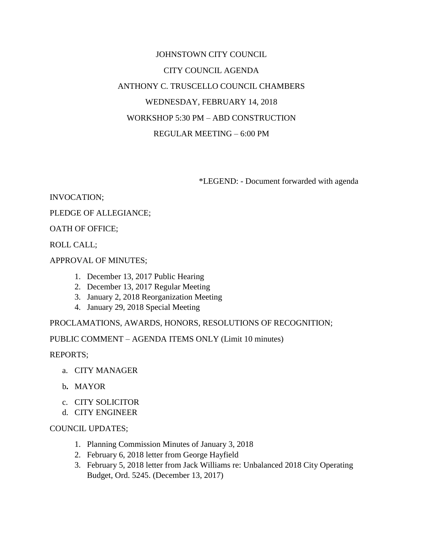# JOHNSTOWN CITY COUNCIL CITY COUNCIL AGENDA ANTHONY C. TRUSCELLO COUNCIL CHAMBERS WEDNESDAY, FEBRUARY 14, 2018 WORKSHOP 5:30 PM – ABD CONSTRUCTION REGULAR MEETING – 6:00 PM

\*LEGEND: - Document forwarded with agenda

INVOCATION;

## PLEDGE OF ALLEGIANCE;

OATH OF OFFICE;

ROLL CALL;

APPROVAL OF MINUTES;

- 1. December 13, 2017 Public Hearing
- 2. December 13, 2017 Regular Meeting
- 3. January 2, 2018 Reorganization Meeting
- 4. January 29, 2018 Special Meeting

PROCLAMATIONS, AWARDS, HONORS, RESOLUTIONS OF RECOGNITION;

PUBLIC COMMENT – AGENDA ITEMS ONLY (Limit 10 minutes)

REPORTS;

- a. CITY MANAGER
- b**.** MAYOR
- c. CITY SOLICITOR
- d. CITY ENGINEER

### COUNCIL UPDATES;

- 1. Planning Commission Minutes of January 3, 2018
- 2. February 6, 2018 letter from George Hayfield
- 3. February 5, 2018 letter from Jack Williams re: Unbalanced 2018 City Operating Budget, Ord. 5245. (December 13, 2017)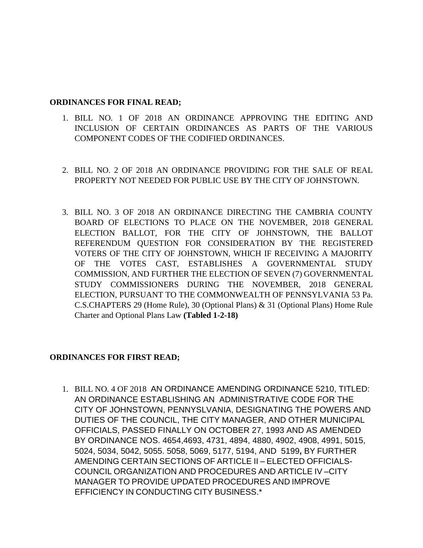#### **ORDINANCES FOR FINAL READ;**

- 1. BILL NO. 1 OF 2018 AN ORDINANCE APPROVING THE EDITING AND INCLUSION OF CERTAIN ORDINANCES AS PARTS OF THE VARIOUS COMPONENT CODES OF THE CODIFIED ORDINANCES.
- 2. BILL NO. 2 OF 2018 AN ORDINANCE PROVIDING FOR THE SALE OF REAL PROPERTY NOT NEEDED FOR PUBLIC USE BY THE CITY OF JOHNSTOWN.
- 3. BILL NO. 3 OF 2018 AN ORDINANCE DIRECTING THE CAMBRIA COUNTY BOARD OF ELECTIONS TO PLACE ON THE NOVEMBER, 2018 GENERAL ELECTION BALLOT, FOR THE CITY OF JOHNSTOWN, THE BALLOT REFERENDUM QUESTION FOR CONSIDERATION BY THE REGISTERED VOTERS OF THE CITY OF JOHNSTOWN, WHICH IF RECEIVING A MAJORITY OF THE VOTES CAST, ESTABLISHES A GOVERNMENTAL STUDY COMMISSION, AND FURTHER THE ELECTION OF SEVEN (7) GOVERNMENTAL STUDY COMMISSIONERS DURING THE NOVEMBER, 2018 GENERAL ELECTION, PURSUANT TO THE COMMONWEALTH OF PENNSYLVANIA 53 Pa. C.S.CHAPTERS 29 (Home Rule), 30 (Optional Plans) & 31 (Optional Plans) Home Rule Charter and Optional Plans Law **(Tabled 1-2-18)**

### **ORDINANCES FOR FIRST READ;**

1. BILL NO. 4 OF 2018 AN ORDINANCE AMENDING ORDINANCE 5210, TITLED: AN ORDINANCE ESTABLISHING AN ADMINISTRATIVE CODE FOR THE CITY OF JOHNSTOWN, PENNYSLVANIA, DESIGNATING THE POWERS AND DUTIES OF THE COUNCIL, THE CITY MANAGER, AND OTHER MUNICIPAL OFFICIALS, PASSED FINALLY ON OCTOBER 27, 1993 AND AS AMENDED BY ORDINANCE NOS. 4654,4693, 4731, 4894, 4880, 4902, 4908, 4991, 5015, 5024, 5034, 5042, 5055. 5058, 5069, 5177, 5194, AND 5199**,** BY FURTHER AMENDING CERTAIN SECTIONS OF ARTICLE II – ELECTED OFFICIALS-COUNCIL ORGANIZATION AND PROCEDURES AND ARTICLE IV –CITY MANAGER TO PROVIDE UPDATED PROCEDURES AND IMPROVE EFFICIENCY IN CONDUCTING CITY BUSINESS.\*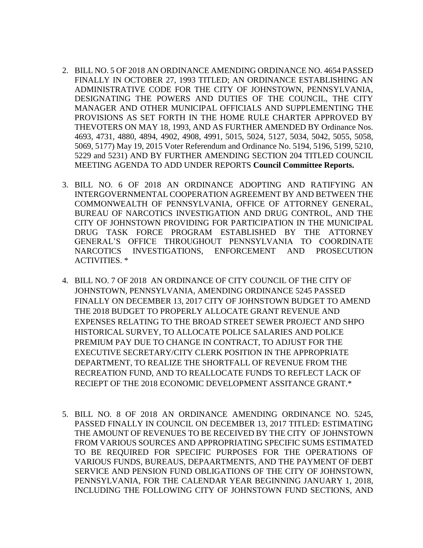- 2. BILL NO. 5 OF 2018 AN ORDINANCE AMENDING ORDINANCE NO. 4654 PASSED FINALLY IN OCTOBER 27, 1993 TITLED; AN ORDINANCE ESTABLISHING AN ADMINISTRATIVE CODE FOR THE CITY OF JOHNSTOWN, PENNSYLVANIA, DESIGNATING THE POWERS AND DUTIES OF THE COUNCIL, THE CITY MANAGER AND OTHER MUNICIPAL OFFICIALS AND SUPPLEMENTING THE PROVISIONS AS SET FORTH IN THE HOME RULE CHARTER APPROVED BY THEVOTERS ON MAY 18, 1993, AND AS FURTHER AMENDED BY Ordinance Nos. 4693, 4731, 4880, 4894, 4902, 4908, 4991, 5015, 5024, 5127, 5034, 5042, 5055, 5058, 5069, 5177) May 19, 2015 Voter Referendum and Ordinance No. 5194, 5196, 5199, 5210, 5229 and 5231) AND BY FURTHER AMENDING SECTION 204 TITLED COUNCIL MEETING AGENDA TO ADD UNDER REPORTS **Council Committee Reports.**
- 3. BILL NO. 6 OF 2018 AN ORDINANCE ADOPTING AND RATIFYING AN INTERGOVERNMENTAL COOPERATION AGREEMENT BY AND BETWEEN THE COMMONWEALTH OF PENNSYLVANIA, OFFICE OF ATTORNEY GENERAL, BUREAU OF NARCOTICS INVESTIGATION AND DRUG CONTROL, AND THE CITY OF JOHNSTOWN PROVIDING FOR PARTICIPATION IN THE MUNICIPAL DRUG TASK FORCE PROGRAM ESTABLISHED BY THE ATTORNEY GENERAL'S OFFICE THROUGHOUT PENNSYLVANIA TO COORDINATE NARCOTICS INVESTIGATIONS, ENFORCEMENT AND PROSECUTION ACTIVITIES. \*
- 4. BILL NO. 7 OF 2018 AN ORDINANCE OF CITY COUNCIL OF THE CITY OF JOHNSTOWN, PENNSYLVANIA, AMENDING ORDINANCE 5245 PASSED FINALLY ON DECEMBER 13, 2017 CITY OF JOHNSTOWN BUDGET TO AMEND THE 2018 BUDGET TO PROPERLY ALLOCATE GRANT REVENUE AND EXPENSES RELATING TO THE BROAD STREET SEWER PROJECT AND SHPO HISTORICAL SURVEY, TO ALLOCATE POLICE SALARIES AND POLICE PREMIUM PAY DUE TO CHANGE IN CONTRACT, TO ADJUST FOR THE EXECUTIVE SECRETARY/CITY CLERK POSITION IN THE APPROPRIATE DEPARTMENT, TO REALIZE THE SHORTFALL OF REVENUE FROM THE RECREATION FUND, AND TO REALLOCATE FUNDS TO REFLECT LACK OF RECIEPT OF THE 2018 ECONOMIC DEVELOPMENT ASSITANCE GRANT.\*
- 5. BILL NO. 8 OF 2018 AN ORDINANCE AMENDING ORDINANCE NO. 5245, PASSED FINALLY IN COUNCIL ON DECEMBER 13, 2017 TITLED: ESTIMATING THE AMOUNT OF REVENUES TO BE RECEIVED BY THE CITY OF JOHNSTOWN FROM VARIOUS SOURCES AND APPROPRIATING SPECIFIC SUMS ESTIMATED TO BE REQUIRED FOR SPECIFIC PURPOSES FOR THE OPERATIONS OF VARIOUS FUNDS, BUREAUS, DEPAARTMENTS, AND THE PAYMENT OF DEBT SERVICE AND PENSION FUND OBLIGATIONS OF THE CITY OF JOHNSTOWN, PENNSYLVANIA, FOR THE CALENDAR YEAR BEGINNING JANUARY 1, 2018, INCLUDING THE FOLLOWING CITY OF JOHNSTOWN FUND SECTIONS, AND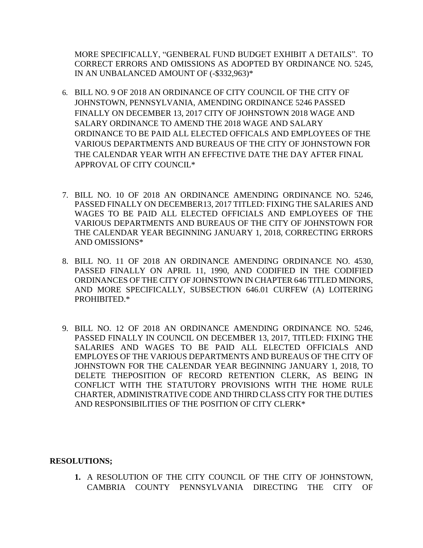MORE SPECIFICALLY, "GENBERAL FUND BUDGET EXHIBIT A DETAILS". TO CORRECT ERRORS AND OMISSIONS AS ADOPTED BY ORDINANCE NO. 5245, IN AN UNBALANCED AMOUNT OF (-\$332,963)\*

- 6. BILL NO. 9 OF 2018 AN ORDINANCE OF CITY COUNCIL OF THE CITY OF JOHNSTOWN, PENNSYLVANIA, AMENDING ORDINANCE 5246 PASSED FINALLY ON DECEMBER 13, 2017 CITY OF JOHNSTOWN 2018 WAGE AND SALARY ORDINANCE TO AMEND THE 2018 WAGE AND SALARY ORDINANCE TO BE PAID ALL ELECTED OFFICALS AND EMPLOYEES OF THE VARIOUS DEPARTMENTS AND BUREAUS OF THE CITY OF JOHNSTOWN FOR THE CALENDAR YEAR WITH AN EFFECTIVE DATE THE DAY AFTER FINAL APPROVAL OF CITY COUNCIL\*
- 7. BILL NO. 10 OF 2018 AN ORDINANCE AMENDING ORDINANCE NO. 5246, PASSED FINALLY ON DECEMBER13, 2017 TITLED: FIXING THE SALARIES AND WAGES TO BE PAID ALL ELECTED OFFICIALS AND EMPLOYEES OF THE VARIOUS DEPARTMENTS AND BUREAUS OF THE CITY OF JOHNSTOWN FOR THE CALENDAR YEAR BEGINNING JANUARY 1, 2018, CORRECTING ERRORS AND OMISSIONS\*
- 8. BILL NO. 11 OF 2018 AN ORDINANCE AMENDING ORDINANCE NO. 4530, PASSED FINALLY ON APRIL 11, 1990, AND CODIFIED IN THE CODIFIED ORDINANCES OF THE CITY OF JOHNSTOWN IN CHAPTER 646 TITLED MINORS, AND MORE SPECIFICALLY, SUBSECTION 646.01 CURFEW (A) LOITERING PROHIBITED.\*
- 9. BILL NO. 12 OF 2018 AN ORDINANCE AMENDING ORDINANCE NO. 5246, PASSED FINALLY IN COUNCIL ON DECEMBER 13, 2017, TITLED: FIXING THE SALARIES AND WAGES TO BE PAID ALL ELECTED OFFICIALS AND EMPLOYES OF THE VARIOUS DEPARTMENTS AND BUREAUS OF THE CITY OF JOHNSTOWN FOR THE CALENDAR YEAR BEGINNING JANUARY 1, 2018, TO DELETE THEPOSITION OF RECORD RETENTION CLERK, AS BEING IN CONFLICT WITH THE STATUTORY PROVISIONS WITH THE HOME RULE CHARTER, ADMINISTRATIVE CODE AND THIRD CLASS CITY FOR THE DUTIES AND RESPONSIBILITIES OF THE POSITION OF CITY CLERK\*

### **RESOLUTIONS;**

**1.** A RESOLUTION OF THE CITY COUNCIL OF THE CITY OF JOHNSTOWN, CAMBRIA COUNTY PENNSYLVANIA DIRECTING THE CITY OF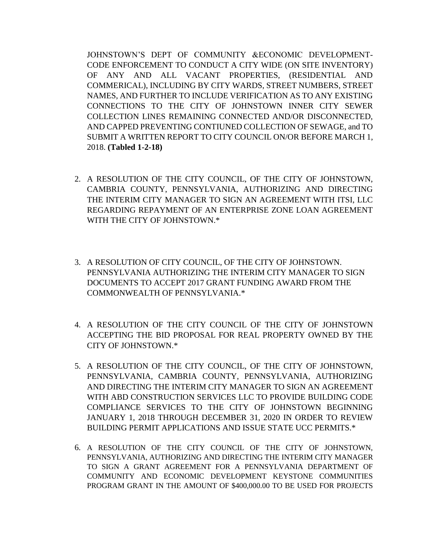JOHNSTOWN'S DEPT OF COMMUNITY &ECONOMIC DEVELOPMENT-CODE ENFORCEMENT TO CONDUCT A CITY WIDE (ON SITE INVENTORY) OF ANY AND ALL VACANT PROPERTIES, (RESIDENTIAL AND COMMERICAL), INCLUDING BY CITY WARDS, STREET NUMBERS, STREET NAMES, AND FURTHER TO INCLUDE VERIFICATION AS TO ANY EXISTING CONNECTIONS TO THE CITY OF JOHNSTOWN INNER CITY SEWER COLLECTION LINES REMAINING CONNECTED AND/OR DISCONNECTED, AND CAPPED PREVENTING CONTIUNED COLLECTION OF SEWAGE, and TO SUBMIT A WRITTEN REPORT TO CITY COUNCIL ON/OR BEFORE MARCH 1, 2018. **(Tabled 1-2-18)**

- 2. A RESOLUTION OF THE CITY COUNCIL, OF THE CITY OF JOHNSTOWN, CAMBRIA COUNTY, PENNSYLVANIA, AUTHORIZING AND DIRECTING THE INTERIM CITY MANAGER TO SIGN AN AGREEMENT WITH ITSI, LLC REGARDING REPAYMENT OF AN ENTERPRISE ZONE LOAN AGREEMENT WITH THE CITY OF JOHNSTOWN.\*
- 3. A RESOLUTION OF CITY COUNCIL, OF THE CITY OF JOHNSTOWN. PENNSYLVANIA AUTHORIZING THE INTERIM CITY MANAGER TO SIGN DOCUMENTS TO ACCEPT 2017 GRANT FUNDING AWARD FROM THE COMMONWEALTH OF PENNSYLVANIA.\*
- 4. A RESOLUTION OF THE CITY COUNCIL OF THE CITY OF JOHNSTOWN ACCEPTING THE BID PROPOSAL FOR REAL PROPERTY OWNED BY THE CITY OF JOHNSTOWN.\*
- 5. A RESOLUTION OF THE CITY COUNCIL, OF THE CITY OF JOHNSTOWN, PENNSYLVANIA, CAMBRIA COUNTY, PENNSYLVANIA, AUTHORIZING AND DIRECTING THE INTERIM CITY MANAGER TO SIGN AN AGREEMENT WITH ABD CONSTRUCTION SERVICES LLC TO PROVIDE BUILDING CODE COMPLIANCE SERVICES TO THE CITY OF JOHNSTOWN BEGINNING JANUARY 1, 2018 THROUGH DECEMBER 31, 2020 IN ORDER TO REVIEW BUILDING PERMIT APPLICATIONS AND ISSUE STATE UCC PERMITS.\*
- 6. A RESOLUTION OF THE CITY COUNCIL OF THE CITY OF JOHNSTOWN, PENNSYLVANIA, AUTHORIZING AND DIRECTING THE INTERIM CITY MANAGER TO SIGN A GRANT AGREEMENT FOR A PENNSYLVANIA DEPARTMENT OF COMMUNITY AND ECONOMIC DEVELOPMENT KEYSTONE COMMUNITIES PROGRAM GRANT IN THE AMOUNT OF \$400,000.00 TO BE USED FOR PROJECTS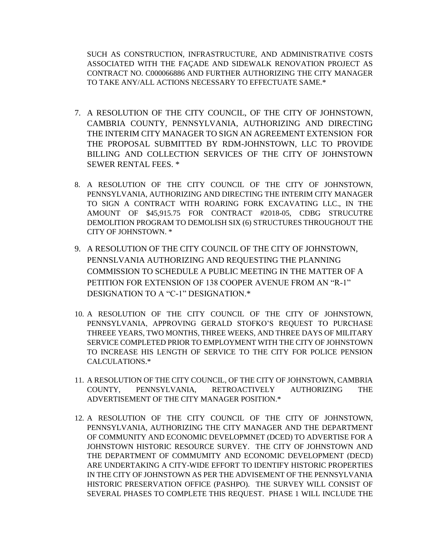SUCH AS CONSTRUCTION, INFRASTRUCTURE, AND ADMINISTRATIVE COSTS ASSOCIATED WITH THE FAÇADE AND SIDEWALK RENOVATION PROJECT AS CONTRACT NO. C000066886 AND FURTHER AUTHORIZING THE CITY MANAGER TO TAKE ANY/ALL ACTIONS NECESSARY TO EFFECTUATE SAME.\*

- 7. A RESOLUTION OF THE CITY COUNCIL, OF THE CITY OF JOHNSTOWN, CAMBRIA COUNTY, PENNSYLVANIA, AUTHORIZING AND DIRECTING THE INTERIM CITY MANAGER TO SIGN AN AGREEMENT EXTENSION FOR THE PROPOSAL SUBMITTED BY RDM-JOHNSTOWN, LLC TO PROVIDE BILLING AND COLLECTION SERVICES OF THE CITY OF JOHNSTOWN SEWER RENTAL FEES. \*
- 8. A RESOLUTION OF THE CITY COUNCIL OF THE CITY OF JOHNSTOWN, PENNSYLVANIA, AUTHORIZING AND DIRECTING THE INTERIM CITY MANAGER TO SIGN A CONTRACT WITH ROARING FORK EXCAVATING LLC., IN THE AMOUNT OF \$45,915.75 FOR CONTRACT #2018-05, CDBG STRUCUTRE DEMOLITION PROGRAM TO DEMOLISH SIX (6) STRUCTURES THROUGHOUT THE CITY OF JOHNSTOWN. \*
- 9. A RESOLUTION OF THE CITY COUNCIL OF THE CITY OF JOHNSTOWN, PENNSLVANIA AUTHORIZING AND REQUESTING THE PLANNING COMMISSION TO SCHEDULE A PUBLIC MEETING IN THE MATTER OF A PETITION FOR EXTENSION OF 138 COOPER AVENUE FROM AN "R-1" DESIGNATION TO A "C-1" DESIGNATION.\*
- 10. A RESOLUTION OF THE CITY COUNCIL OF THE CITY OF JOHNSTOWN, PENNSYLVANIA, APPROVING GERALD STOFKO'S REQUEST TO PURCHASE THREEE YEARS, TWO MONTHS, THREE WEEKS, AND THREE DAYS OF MILITARY SERVICE COMPLETED PRIOR TO EMPLOYMENT WITH THE CITY OF JOHNSTOWN TO INCREASE HIS LENGTH OF SERVICE TO THE CITY FOR POLICE PENSION CALCULATIONS.\*
- 11. A RESOLUTION OF THE CITY COUNCIL, OF THE CITY OF JOHNSTOWN, CAMBRIA COUNTY, PENNSYLVANIA, RETROACTIVELY AUTHORIZING THE ADVERTISEMENT OF THE CITY MANAGER POSITION.\*
- 12. A RESOLUTION OF THE CITY COUNCIL OF THE CITY OF JOHNSTOWN, PENNSYLVANIA, AUTHORIZING THE CITY MANAGER AND THE DEPARTMENT OF COMMUNITY AND ECONOMIC DEVELOPMNET (DCED) TO ADVERTISE FOR A JOHNSTOWN HISTORIC RESOURCE SURVEY. THE CITY OF JOHNSTOWN AND THE DEPARTMENT OF COMMUMITY AND ECONOMIC DEVELOPMENT (DECD) ARE UNDERTAKING A CITY-WIDE EFFORT TO IDENTIFY HISTORIC PROPERTIES IN THE CITY OF JOHNSTOWN AS PER THE ADVISEMENT OF THE PENNSYLVANIA HISTORIC PRESERVATION OFFICE (PASHPO). THE SURVEY WILL CONSIST OF SEVERAL PHASES TO COMPLETE THIS REQUEST. PHASE 1 WILL INCLUDE THE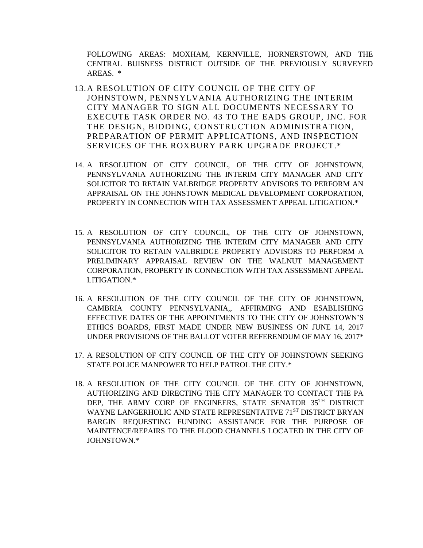FOLLOWING AREAS: MOXHAM, KERNVILLE, HORNERSTOWN, AND THE CENTRAL BUISNESS DISTRICT OUTSIDE OF THE PREVIOUSLY SURVEYED AREAS. \*

- 13.A RESOLUTION OF CITY COUNCIL OF THE CITY OF JOHNSTOWN, PENNSYLVANIA AUTHORIZING THE INTERIM CITY MANAGER TO SIGN ALL DOCUMENTS NECESSARY TO EXECUTE TASK ORDER NO. 43 TO THE EADS GROUP, INC. FOR THE DESIGN, BIDDING, CONSTRUCTION ADMINISTRATION, PREPARATION OF PERMIT APPLICATIONS, AND INSPECTION SERVICES OF THE ROXBURY PARK UPGRADE PROJECT.\*
- 14. A RESOLUTION OF CITY COUNCIL, OF THE CITY OF JOHNSTOWN, PENNSYLVANIA AUTHORIZING THE INTERIM CITY MANAGER AND CITY SOLICITOR TO RETAIN VALBRIDGE PROPERTY ADVISORS TO PERFORM AN APPRAISAL ON THE JOHNSTOWN MEDICAL DEVELOPMENT CORPORATION, PROPERTY IN CONNECTION WITH TAX ASSESSMENT APPEAL LITIGATION.\*
- 15. A RESOLUTION OF CITY COUNCIL, OF THE CITY OF JOHNSTOWN, PENNSYLVANIA AUTHORIZING THE INTERIM CITY MANAGER AND CITY SOLICITOR TO RETAIN VALBRIDGE PROPERTY ADVISORS TO PERFORM A PRELIMINARY APPRAISAL REVIEW ON THE WALNUT MANAGEMENT CORPORATION, PROPERTY IN CONNECTION WITH TAX ASSESSMENT APPEAL LITIGATION.\*
- 16. A RESOLUTION OF THE CITY COUNCIL OF THE CITY OF JOHNSTOWN, CAMBRIA COUNTY PENNSYLVANIA,, AFFIRMING AND ESABLISHING EFFECTIVE DATES OF THE APPOINTMENTS TO THE CITY OF JOHNSTOWN'S ETHICS BOARDS, FIRST MADE UNDER NEW BUSINESS ON JUNE 14, 2017 UNDER PROVISIONS OF THE BALLOT VOTER REFERENDUM OF MAY 16, 2017\*
- 17. A RESOLUTION OF CITY COUNCIL OF THE CITY OF JOHNSTOWN SEEKING STATE POLICE MANPOWER TO HELP PATROL THE CITY.\*
- 18. A RESOLUTION OF THE CITY COUNCIL OF THE CITY OF JOHNSTOWN, AUTHORIZING AND DIRECTING THE CITY MANAGER TO CONTACT THE PA DEP, THE ARMY CORP OF ENGINEERS, STATE SENATOR 35TH DISTRICT WAYNE LANGERHOLIC AND STATE REPRESENTATIVE 71ST DISTRICT BRYAN BARGIN REQUESTING FUNDING ASSISTANCE FOR THE PURPOSE OF MAINTENCE/REPAIRS TO THE FLOOD CHANNELS LOCATED IN THE CITY OF JOHNSTOWN.\*